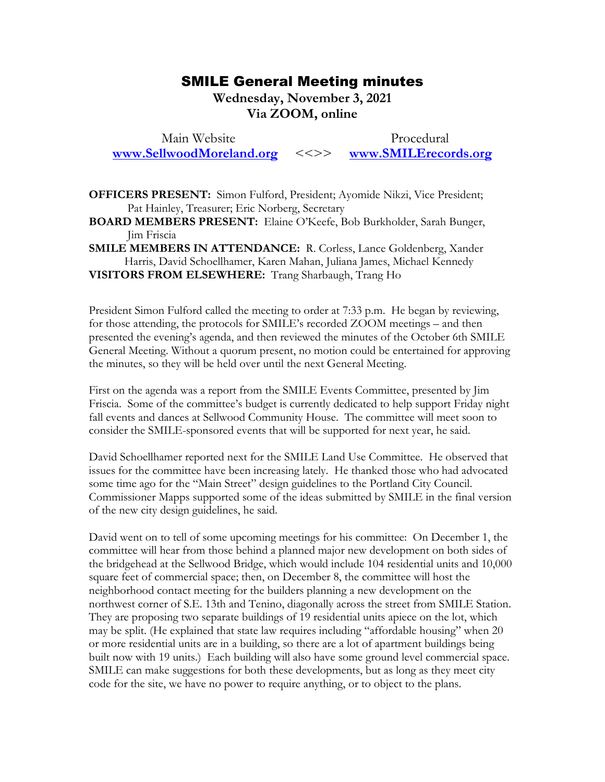## SMILE General Meeting minutes SMILE General Meeting minutes

Wednesday, November 3, 2021 **Wednesday, November 3, 2021**  Via ZOOM, online **Via ZOOM, online**

Main Website Procedural Main Website Procedural [www.SellwoodMoreland.org](http://www.sellwoodmoreland.org/) <<>> [www.SMILErecords.org](http://www.smilerecords.org/) **www.SellwoodMoreland.org** <<>> **www.SMILErecords.org**

OFFICERS PRESENT: Simon Fulford, President; Ayomide Nikzi, Vice President; **OFFICERS PRESENT:** Simon Fulford, President; Ayomide Nikzi, Vice President; Pat Hainley, Treasurer; Eric Norberg, Secretary Pat Hainley, Treasurer; Eric Norberg, Secretary

BOARD MEMBERS PRESENT: Elaine O'Keefe, Bob Burkholder, Sarah Bunger, **BOARD MEMBERS PRESENT:** Elaine O'Keefe, Bob Burkholder, Sarah Bunger, Jim FrisciaJim Friscia

SMILE MEMBERS IN ATTENDANCE: R. Corless, Lance Goldenberg, Xander **SMILE MEMBERS IN ATTENDANCE:** R. Corless, Lance Goldenberg, Xander Harris, David Schoellhamer, Karen Mahan, Juliana James, Michael Kennedy Harris, David Schoellhamer, Karen Mahan, Juliana James, Michael Kennedy VISITORS FROM ELSEWHERE: Trang Sharbaugh, Trang Ho

President Simon Fulford called the meeting to order at 7:33 p.m. He began by reviewing, for those attending, the protocols for SMILE's recorded ZOOM meetings — and then presented the evening's agenda, and then reviewed the minutes of the October 6th SMILE General Meeting. Without a quorum present, no motion could be entertained for approving the minutes, so they will be held over until the next General Meeting. **VISITORS FROM ELSEWHERE:** Trang Sharbaugh, Trang Ho<br>President Simon Fulford called the meeting to order at 7:33 p.m. He began by reviewing,<br>for those attending, the protocols for SMILE's recorded ZOOM meetings – and then<br>

First on the agenda was a report from the SMILE Events Committee, presented by Jim Friscia. Some of the committee's budget is currently dedicated to help support Friday night fall events and dances at Sellwood Community House. The committee will meet soon to consider the SMILE-sponsored events that will be supported for next year, he said.

David Schoellhamer reported next for the SMILE Land Use Committee. He observed that issues for the committee have been increasing lately. He thanked those who had advocated some time ago for the "Main Street" design guidelines to the Portland City Council. Commissioner Mapps supported some of the ideas submitted by SMILE in the final version of the new city design guidelines, he said. fall events and dances at Sellwood Community House. The committee will meet soon to<br>consider the SMILE-sponsored events that will be supported for next year, he said.<br>David Schoellhamer reported next for the SMILE Land Use

David went on to tell of some upcoming meetings for his committee: On December 1, the committee will hear from those behind a planned major new development on both sides of the bridgehead at the Sellwood Bridge, which would include 104 residential units and 10,000 square feet of commercial space; then, on December 8, the committee will host the neighborhood contact meeting for the builders planning a new development on the northwest corner of S.E. 13th and Tenino, diagonally across the street from SMILE Station. They are proposing two separate buildings of 19 residential units apiece on the lot, which may be split. (He explained that state law requires including "affordable housing" when 20<br>or more residential units are in a building, so there are a lot of apartment buildings being or more residential units are in a building, so there are a lot of apartment buildings being built now with 19 units.) Each building will also have some ground level commercial space.<br>SMILE can make suggestions for both these developments, but as long as they meet city<br>code for the site, we have no power to requir SMILE can make suggestions for both these developments, but as long as they meet city code for the site, we have no power to require anything, or to object to the plans. neighborhood contact meeting for the builders planning a new development on the<br>northwest corner of S.E. 13th and Tenino, diagonally across the street from SMILE Station.<br>They are proposing two separate buildings of 19 res